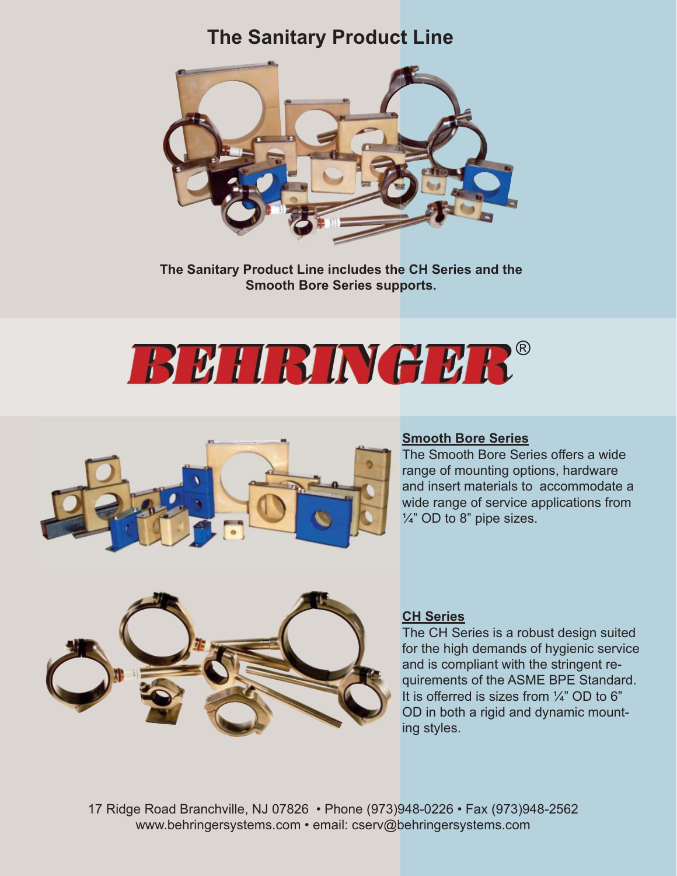# **The Sanitary Product Line**



**The Sanitary Product Line includes the CH Series and the Smooth Bore Series supports.**

# **BUIRINGUR®**



## **Smooth Bore Series**

The Smooth Bore Series offers a wide range of mounting options, hardware and insert materials to accommodate a wide range of service applications from  $\frac{1}{4}$ " OD to 8" pipe sizes.



#### **CH Series**

The CH Series is a robust design suited for the high demands of hygienic service and is compliant with the stringent requirements of the ASME BPE Standard. It is offerred is sizes from  $\frac{1}{4}$ " OD to 6" OD in both a rigid and dynamic mounting styles.

17 Ridge Road Branchville, NJ 07826 • Phone (973)948-0226 • Fax (973)948-2562 www.behringersystems.com • email: cserv@behringersystems.com